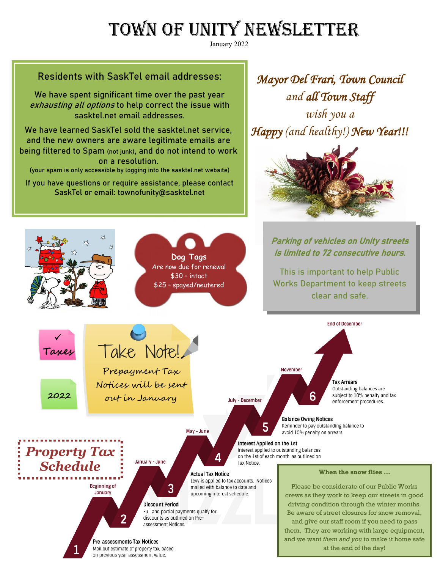# TOWN OF UNITY NEWSLETTER

January 2022

## Residents with SaskTel email addresses:

We have spent significant time over the past year exhausting all options to help correct the issue with sasktel.net email addresses.

We have learned SaskTel sold the sasktel.net service, and the new owners are aware legitimate emails are being filtered to Spam (not junk), and do not intend to work on a resolution.

(your spam is only accessible by logging into the sasktel.net website)

If you have questions or require assistance, please contact SaskTel or email: townofunity@sasktel.net

*Mayor Del Frari, Town Council and all Town Staff* 

*wish you a Happy (and healthy!) New Year!!!*